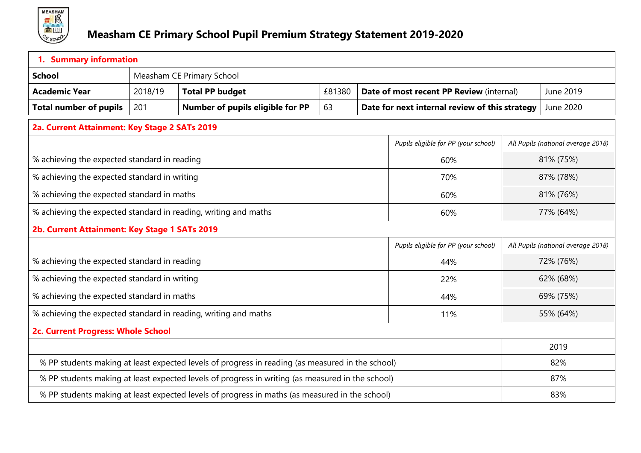

| 1. Summary information                                                                           |         |                                                                                                  |        |  |                                                       |           |                                    |  |
|--------------------------------------------------------------------------------------------------|---------|--------------------------------------------------------------------------------------------------|--------|--|-------------------------------------------------------|-----------|------------------------------------|--|
| <b>School</b>                                                                                    |         | Measham CE Primary School                                                                        |        |  |                                                       |           |                                    |  |
| <b>Academic Year</b>                                                                             | 2018/19 | <b>Total PP budget</b>                                                                           | £81380 |  | June 2019<br>Date of most recent PP Review (internal) |           |                                    |  |
| <b>Total number of pupils</b>                                                                    | 201     | Number of pupils eligible for PP                                                                 | 63     |  | Date for next internal review of this strategy        |           | June 2020                          |  |
| 2a. Current Attainment: Key Stage 2 SATs 2019                                                    |         |                                                                                                  |        |  |                                                       |           |                                    |  |
| Pupils eligible for PP (your school)                                                             |         |                                                                                                  |        |  |                                                       |           | All Pupils (national average 2018) |  |
| % achieving the expected standard in reading                                                     |         |                                                                                                  |        |  | 60%                                                   |           | 81% (75%)                          |  |
| % achieving the expected standard in writing                                                     |         |                                                                                                  |        |  | 70%                                                   |           | 87% (78%)                          |  |
| % achieving the expected standard in maths                                                       |         |                                                                                                  |        |  | 60%                                                   |           | 81% (76%)                          |  |
| % achieving the expected standard in reading, writing and maths<br>60%                           |         |                                                                                                  |        |  |                                                       | 77% (64%) |                                    |  |
| 2b. Current Attainment: Key Stage 1 SATs 2019                                                    |         |                                                                                                  |        |  |                                                       |           |                                    |  |
|                                                                                                  |         |                                                                                                  |        |  | Pupils eligible for PP (your school)                  |           | All Pupils (national average 2018) |  |
| % achieving the expected standard in reading                                                     |         |                                                                                                  |        |  | 44%                                                   |           | 72% (76%)                          |  |
| % achieving the expected standard in writing                                                     |         |                                                                                                  |        |  | 22%                                                   | 62% (68%) |                                    |  |
| % achieving the expected standard in maths                                                       |         |                                                                                                  |        |  | 44%                                                   |           | 69% (75%)                          |  |
|                                                                                                  |         | % achieving the expected standard in reading, writing and maths                                  |        |  | 11%                                                   |           | 55% (64%)                          |  |
| 2c. Current Progress: Whole School                                                               |         |                                                                                                  |        |  |                                                       |           |                                    |  |
|                                                                                                  |         |                                                                                                  |        |  |                                                       | 2019      |                                    |  |
| % PP students making at least expected levels of progress in reading (as measured in the school) |         |                                                                                                  |        |  |                                                       | 82%       |                                    |  |
|                                                                                                  |         | % PP students making at least expected levels of progress in writing (as measured in the school) |        |  |                                                       |           | 87%                                |  |
| % PP students making at least expected levels of progress in maths (as measured in the school)   |         |                                                                                                  |        |  |                                                       | 83%       |                                    |  |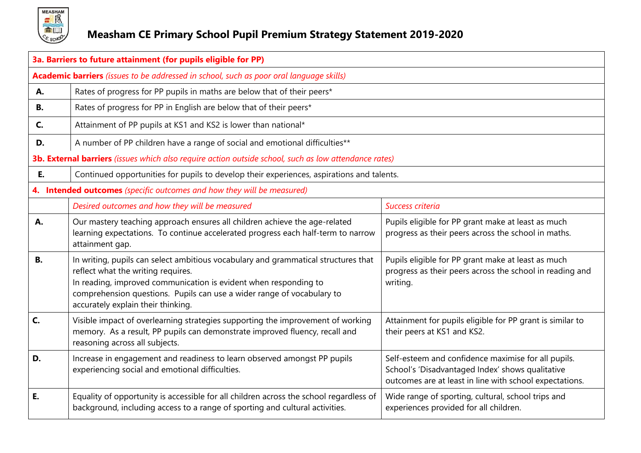

## **Measham CE Primary School Pupil Premium Strategy Statement 2019-2020**

|           | 3a. Barriers to future attainment (for pupils eligible for PP)                                                                                                                                                                                                                                               |                                                                                                                                                                    |  |  |  |  |
|-----------|--------------------------------------------------------------------------------------------------------------------------------------------------------------------------------------------------------------------------------------------------------------------------------------------------------------|--------------------------------------------------------------------------------------------------------------------------------------------------------------------|--|--|--|--|
|           | Academic barriers (issues to be addressed in school, such as poor oral language skills)                                                                                                                                                                                                                      |                                                                                                                                                                    |  |  |  |  |
| А.        | Rates of progress for PP pupils in maths are below that of their peers*                                                                                                                                                                                                                                      |                                                                                                                                                                    |  |  |  |  |
| В.        | Rates of progress for PP in English are below that of their peers*                                                                                                                                                                                                                                           |                                                                                                                                                                    |  |  |  |  |
| C.        | Attainment of PP pupils at KS1 and KS2 is lower than national*                                                                                                                                                                                                                                               |                                                                                                                                                                    |  |  |  |  |
| D.        | A number of PP children have a range of social and emotional difficulties**                                                                                                                                                                                                                                  |                                                                                                                                                                    |  |  |  |  |
|           | 3b. External barriers (issues which also require action outside school, such as low attendance rates)                                                                                                                                                                                                        |                                                                                                                                                                    |  |  |  |  |
| E.        | Continued opportunities for pupils to develop their experiences, aspirations and talents.                                                                                                                                                                                                                    |                                                                                                                                                                    |  |  |  |  |
|           | 4. Intended outcomes (specific outcomes and how they will be measured)                                                                                                                                                                                                                                       |                                                                                                                                                                    |  |  |  |  |
|           | Desired outcomes and how they will be measured                                                                                                                                                                                                                                                               | Success criteria                                                                                                                                                   |  |  |  |  |
| А.        | Our mastery teaching approach ensures all children achieve the age-related<br>learning expectations. To continue accelerated progress each half-term to narrow<br>attainment gap.                                                                                                                            | Pupils eligible for PP grant make at least as much<br>progress as their peers across the school in maths.                                                          |  |  |  |  |
| <b>B.</b> | In writing, pupils can select ambitious vocabulary and grammatical structures that<br>reflect what the writing requires.<br>In reading, improved communication is evident when responding to<br>comprehension questions. Pupils can use a wider range of vocabulary to<br>accurately explain their thinking. | Pupils eligible for PP grant make at least as much<br>progress as their peers across the school in reading and<br>writing.                                         |  |  |  |  |
| C.        | Visible impact of overlearning strategies supporting the improvement of working<br>memory. As a result, PP pupils can demonstrate improved fluency, recall and<br>reasoning across all subjects.                                                                                                             | Attainment for pupils eligible for PP grant is similar to<br>their peers at KS1 and KS2.                                                                           |  |  |  |  |
| D.        | Increase in engagement and readiness to learn observed amongst PP pupils<br>experiencing social and emotional difficulties.                                                                                                                                                                                  | Self-esteem and confidence maximise for all pupils.<br>School's 'Disadvantaged Index' shows qualitative<br>outcomes are at least in line with school expectations. |  |  |  |  |
| E.        | Equality of opportunity is accessible for all children across the school regardless of<br>background, including access to a range of sporting and cultural activities.                                                                                                                                       | Wide range of sporting, cultural, school trips and<br>experiences provided for all children.                                                                       |  |  |  |  |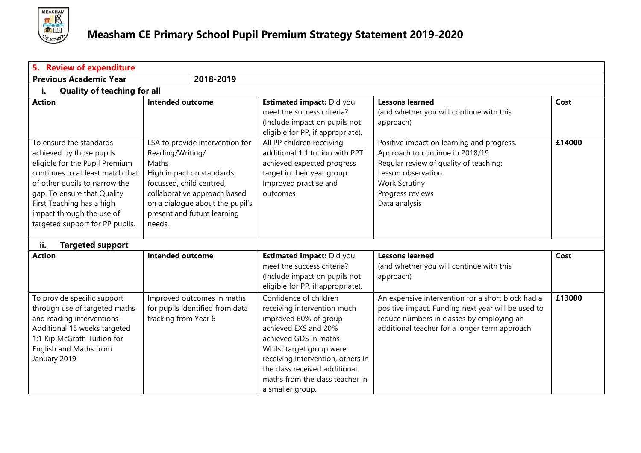

| <b>Review of expenditure</b><br>5.       |                                 |                                                             |                                                    |        |
|------------------------------------------|---------------------------------|-------------------------------------------------------------|----------------------------------------------------|--------|
| <b>Previous Academic Year</b>            | 2018-2019                       |                                                             |                                                    |        |
| <b>Quality of teaching for all</b><br>i. |                                 |                                                             |                                                    |        |
| <b>Action</b>                            | <b>Intended outcome</b>         | <b>Estimated impact: Did you</b>                            | <b>Lessons learned</b>                             | Cost   |
|                                          |                                 | meet the success criteria?<br>(Include impact on pupils not | (and whether you will continue with this           |        |
|                                          |                                 | eligible for PP, if appropriate).                           | approach)                                          |        |
| To ensure the standards                  | LSA to provide intervention for | All PP children receiving                                   | Positive impact on learning and progress.          | £14000 |
| achieved by those pupils                 | Reading/Writing/                | additional 1:1 tuition with PPT                             | Approach to continue in 2018/19                    |        |
| eligible for the Pupil Premium           | Maths                           | achieved expected progress                                  | Regular review of quality of teaching:             |        |
| continues to at least match that         | High impact on standards:       | target in their year group.                                 | Lesson observation                                 |        |
| of other pupils to narrow the            | focussed, child centred,        | Improved practise and                                       | <b>Work Scrutiny</b>                               |        |
| gap. To ensure that Quality              | collaborative approach based    | outcomes                                                    | Progress reviews                                   |        |
| First Teaching has a high                | on a dialogue about the pupil's |                                                             | Data analysis                                      |        |
| impact through the use of                | present and future learning     |                                                             |                                                    |        |
| targeted support for PP pupils.          | needs.                          |                                                             |                                                    |        |
| <b>Targeted support</b><br>ii.           |                                 |                                                             |                                                    |        |
| <b>Action</b>                            | <b>Intended outcome</b>         | <b>Estimated impact: Did you</b>                            | <b>Lessons learned</b>                             | Cost   |
|                                          |                                 | meet the success criteria?                                  | (and whether you will continue with this           |        |
|                                          |                                 | (Include impact on pupils not                               | approach)                                          |        |
|                                          |                                 | eligible for PP, if appropriate).                           |                                                    |        |
| To provide specific support              | Improved outcomes in maths      | Confidence of children                                      | An expensive intervention for a short block had a  | £13000 |
| through use of targeted maths            | for pupils identified from data | receiving intervention much                                 | positive impact. Funding next year will be used to |        |
| and reading interventions-               | tracking from Year 6            | improved 60% of group                                       | reduce numbers in classes by employing an          |        |
| Additional 15 weeks targeted             |                                 | achieved EXS and 20%                                        | additional teacher for a longer term approach      |        |
| 1:1 Kip McGrath Tuition for              |                                 | achieved GDS in maths                                       |                                                    |        |
| English and Maths from                   |                                 | Whilst target group were                                    |                                                    |        |
| January 2019                             |                                 | receiving intervention, others in                           |                                                    |        |
|                                          |                                 | the class received additional                               |                                                    |        |
|                                          |                                 | maths from the class teacher in                             |                                                    |        |
|                                          |                                 | a smaller group.                                            |                                                    |        |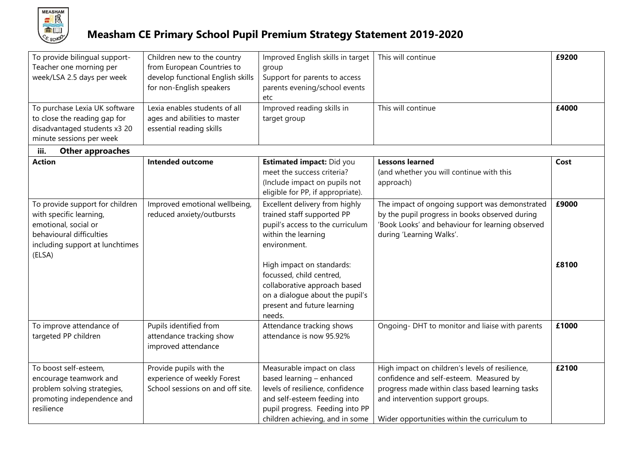

## **Measham CE Primary School Pupil Premium Strategy Statement 2019-2020**

| To provide bilingual support-<br>Teacher one morning per<br>week/LSA 2.5 days per week<br>To purchase Lexia UK software<br>to close the reading gap for<br>disadvantaged students x3 20<br>minute sessions per week | Children new to the country<br>from European Countries to<br>develop functional English skills<br>for non-English speakers<br>Lexia enables students of all<br>ages and abilities to master<br>essential reading skills | Improved English skills in target<br>group<br>Support for parents to access<br>parents evening/school events<br>etc<br>Improved reading skills in<br>target group                                                                                                                                  | This will continue<br>This will continue                                                                                                                                                                                          | £9200<br>£4000 |
|---------------------------------------------------------------------------------------------------------------------------------------------------------------------------------------------------------------------|-------------------------------------------------------------------------------------------------------------------------------------------------------------------------------------------------------------------------|----------------------------------------------------------------------------------------------------------------------------------------------------------------------------------------------------------------------------------------------------------------------------------------------------|-----------------------------------------------------------------------------------------------------------------------------------------------------------------------------------------------------------------------------------|----------------|
| iii.<br><b>Other approaches</b>                                                                                                                                                                                     |                                                                                                                                                                                                                         |                                                                                                                                                                                                                                                                                                    |                                                                                                                                                                                                                                   |                |
| <b>Action</b>                                                                                                                                                                                                       | <b>Intended outcome</b>                                                                                                                                                                                                 | Estimated impact: Did you<br>meet the success criteria?<br>(Include impact on pupils not<br>eligible for PP, if appropriate).                                                                                                                                                                      | <b>Lessons learned</b><br>(and whether you will continue with this<br>approach)                                                                                                                                                   | Cost           |
| To provide support for children<br>with specific learning,<br>emotional, social or<br>behavioural difficulties<br>including support at lunchtimes<br>(ELSA)                                                         | Improved emotional wellbeing,<br>reduced anxiety/outbursts                                                                                                                                                              | Excellent delivery from highly<br>trained staff supported PP<br>pupil's access to the curriculum<br>within the learning<br>environment.<br>High impact on standards:<br>focussed, child centred,<br>collaborative approach based<br>on a dialogue about the pupil's<br>present and future learning | The impact of ongoing support was demonstrated<br>by the pupil progress in books observed during<br>'Book Looks' and behaviour for learning observed<br>during 'Learning Walks'.                                                  | £9000<br>£8100 |
|                                                                                                                                                                                                                     |                                                                                                                                                                                                                         | needs.                                                                                                                                                                                                                                                                                             |                                                                                                                                                                                                                                   |                |
| To improve attendance of<br>targeted PP children                                                                                                                                                                    | Pupils identified from<br>attendance tracking show<br>improved attendance                                                                                                                                               | Attendance tracking shows<br>attendance is now 95.92%                                                                                                                                                                                                                                              | Ongoing- DHT to monitor and liaise with parents                                                                                                                                                                                   | £1000          |
| To boost self-esteem,<br>encourage teamwork and<br>problem solving strategies,<br>promoting independence and<br>resilience                                                                                          | Provide pupils with the<br>experience of weekly Forest<br>School sessions on and off site.                                                                                                                              | Measurable impact on class<br>based learning - enhanced<br>levels of resilience, confidence<br>and self-esteem feeding into<br>pupil progress. Feeding into PP<br>children achieving, and in some                                                                                                  | High impact on children's levels of resilience,<br>confidence and self-esteem. Measured by<br>progress made within class based learning tasks<br>and intervention support groups.<br>Wider opportunities within the curriculum to | £2100          |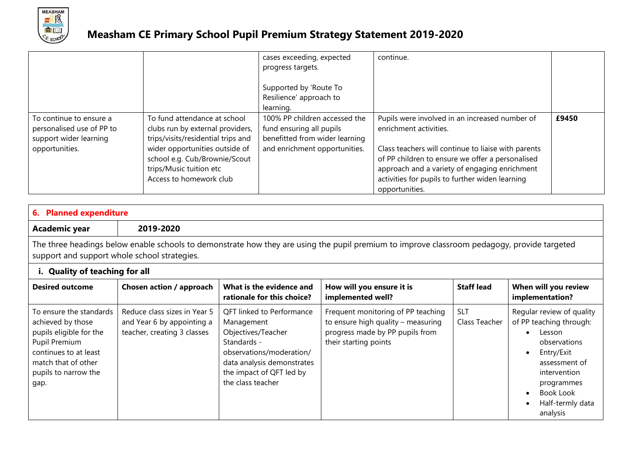

|                                                                                                  |                                                                                                                                                                                                                                 | cases exceeding, expected<br>progress targets.<br>Supported by 'Route To<br>Resilience' approach to<br>learning.             | continue.                                                                                                                                                                                                                                                                                                 |       |
|--------------------------------------------------------------------------------------------------|---------------------------------------------------------------------------------------------------------------------------------------------------------------------------------------------------------------------------------|------------------------------------------------------------------------------------------------------------------------------|-----------------------------------------------------------------------------------------------------------------------------------------------------------------------------------------------------------------------------------------------------------------------------------------------------------|-------|
| To continue to ensure a<br>personalised use of PP to<br>support wider learning<br>opportunities. | To fund attendance at school<br>clubs run by external providers,<br>trips/visits/residential trips and<br>wider opportunities outside of<br>school e.g. Cub/Brownie/Scout<br>trips/Music tuition etc<br>Access to homework club | 100% PP children accessed the<br>fund ensuring all pupils<br>benefitted from wider learning<br>and enrichment opportunities. | Pupils were involved in an increased number of<br>enrichment activities.<br>Class teachers will continue to liaise with parents<br>of PP children to ensure we offer a personalised<br>approach and a variety of engaging enrichment<br>activities for pupils to further widen learning<br>opportunities. | £9450 |

| 6. Planned expenditure                                                                                                                                                                      |                                                                                           |                                                                                                                                                                                                |                                                                                                                                      |                             |                                                                                                                                                                                          |
|---------------------------------------------------------------------------------------------------------------------------------------------------------------------------------------------|-------------------------------------------------------------------------------------------|------------------------------------------------------------------------------------------------------------------------------------------------------------------------------------------------|--------------------------------------------------------------------------------------------------------------------------------------|-----------------------------|------------------------------------------------------------------------------------------------------------------------------------------------------------------------------------------|
| Academic year                                                                                                                                                                               | 2019-2020                                                                                 |                                                                                                                                                                                                |                                                                                                                                      |                             |                                                                                                                                                                                          |
| The three headings below enable schools to demonstrate how they are using the pupil premium to improve classroom pedagogy, provide targeted<br>support and support whole school strategies. |                                                                                           |                                                                                                                                                                                                |                                                                                                                                      |                             |                                                                                                                                                                                          |
| i. Quality of teaching for all                                                                                                                                                              |                                                                                           |                                                                                                                                                                                                |                                                                                                                                      |                             |                                                                                                                                                                                          |
| <b>Desired outcome</b>                                                                                                                                                                      | Chosen action / approach                                                                  | What is the evidence and<br>rationale for this choice?                                                                                                                                         | How will you ensure it is<br>implemented well?                                                                                       | <b>Staff lead</b>           | When will you review<br>implementation?                                                                                                                                                  |
| To ensure the standards<br>achieved by those<br>pupils eligible for the<br>Pupil Premium<br>continues to at least<br>match that of other<br>pupils to narrow the<br>gap.                    | Reduce class sizes in Year 5<br>and Year 6 by appointing a<br>teacher, creating 3 classes | <b>QFT</b> linked to Performance<br>Management<br>Objectives/Teacher<br>Standards -<br>observations/moderation/<br>data analysis demonstrates<br>the impact of QFT led by<br>the class teacher | Frequent monitoring of PP teaching<br>to ensure high quality - measuring<br>progress made by PP pupils from<br>their starting points | <b>SLT</b><br>Class Teacher | Regular review of quality<br>of PP teaching through:<br>Lesson<br>observations<br>Entry/Exit<br>assessment of<br>intervention<br>programmes<br>Book Look<br>Half-termly data<br>analysis |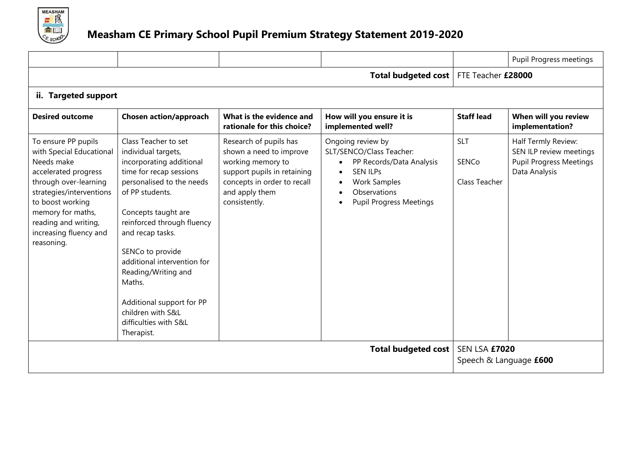

|                                                                                                                                                                                                                                                     |                                                                                                                                                                                                                                                                                                                                                                                                          |                                                                                                                                                                         |                                                                                                                                                                                                                                        |                                             | Pupil Progress meetings                                                                           |
|-----------------------------------------------------------------------------------------------------------------------------------------------------------------------------------------------------------------------------------------------------|----------------------------------------------------------------------------------------------------------------------------------------------------------------------------------------------------------------------------------------------------------------------------------------------------------------------------------------------------------------------------------------------------------|-------------------------------------------------------------------------------------------------------------------------------------------------------------------------|----------------------------------------------------------------------------------------------------------------------------------------------------------------------------------------------------------------------------------------|---------------------------------------------|---------------------------------------------------------------------------------------------------|
|                                                                                                                                                                                                                                                     |                                                                                                                                                                                                                                                                                                                                                                                                          |                                                                                                                                                                         | Total budgeted cost                                                                                                                                                                                                                    | FTE Teacher £28000                          |                                                                                                   |
| ii. Targeted support                                                                                                                                                                                                                                |                                                                                                                                                                                                                                                                                                                                                                                                          |                                                                                                                                                                         |                                                                                                                                                                                                                                        |                                             |                                                                                                   |
| <b>Desired outcome</b>                                                                                                                                                                                                                              | Chosen action/approach                                                                                                                                                                                                                                                                                                                                                                                   | What is the evidence and<br>rationale for this choice?                                                                                                                  | How will you ensure it is<br>implemented well?                                                                                                                                                                                         | <b>Staff lead</b>                           | When will you review<br>implementation?                                                           |
| To ensure PP pupils<br>with Special Educational<br>Needs make<br>accelerated progress<br>through over-learning<br>strategies/interventions<br>to boost working<br>memory for maths,<br>reading and writing,<br>increasing fluency and<br>reasoning. | Class Teacher to set<br>individual targets,<br>incorporating additional<br>time for recap sessions<br>personalised to the needs<br>of PP students.<br>Concepts taught are<br>reinforced through fluency<br>and recap tasks.<br>SENCo to provide<br>additional intervention for<br>Reading/Writing and<br>Maths.<br>Additional support for PP<br>children with S&L<br>difficulties with S&L<br>Therapist. | Research of pupils has<br>shown a need to improve<br>working memory to<br>support pupils in retaining<br>concepts in order to recall<br>and apply them<br>consistently. | Ongoing review by<br>SLT/SENCO/Class Teacher:<br>PP Records/Data Analysis<br>$\bullet$<br><b>SEN ILPs</b><br>$\bullet$<br><b>Work Samples</b><br>$\bullet$<br>Observations<br>$\bullet$<br><b>Pupil Progress Meetings</b><br>$\bullet$ | <b>SLT</b><br><b>SENCo</b><br>Class Teacher | Half Termly Review:<br>SEN ILP review meetings<br><b>Pupil Progress Meetings</b><br>Data Analysis |
|                                                                                                                                                                                                                                                     |                                                                                                                                                                                                                                                                                                                                                                                                          |                                                                                                                                                                         | <b>Total budgeted cost</b>                                                                                                                                                                                                             | SEN LSA £7020<br>Speech & Language £600     |                                                                                                   |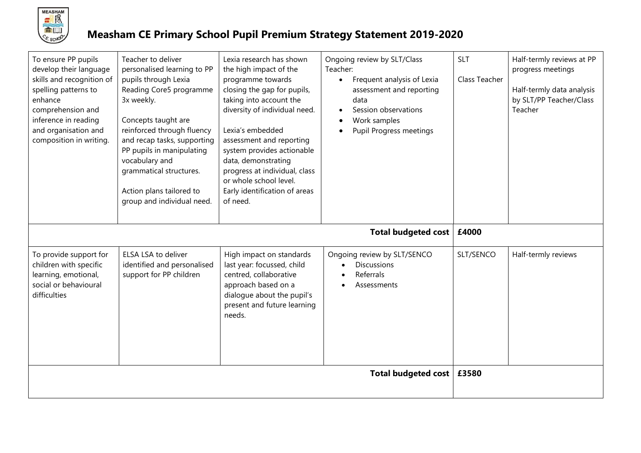

## **Measham CE Primary School Pupil Premium Strategy Statement 2019-2020**

| To ensure PP pupils<br>develop their language<br>skills and recognition of<br>spelling patterns to<br>enhance<br>comprehension and<br>inference in reading<br>and organisation and<br>composition in writing. | Teacher to deliver<br>personalised learning to PP<br>pupils through Lexia<br>Reading Core5 programme<br>3x weekly.<br>Concepts taught are<br>reinforced through fluency<br>and recap tasks, supporting<br>PP pupils in manipulating<br>vocabulary and<br>grammatical structures.<br>Action plans tailored to<br>group and individual need. | Lexia research has shown<br>the high impact of the<br>programme towards<br>closing the gap for pupils,<br>taking into account the<br>diversity of individual need.<br>Lexia's embedded<br>assessment and reporting<br>system provides actionable<br>data, demonstrating<br>progress at individual, class<br>or whole school level.<br>Early identification of areas<br>of need. | Ongoing review by SLT/Class<br>Teacher:<br>Frequent analysis of Lexia<br>$\bullet$<br>assessment and reporting<br>data<br>Session observations<br>Work samples<br>Pupil Progress meetings | <b>SLT</b><br>Class Teacher | Half-termly reviews at PP<br>progress meetings<br>Half-termly data analysis<br>by SLT/PP Teacher/Class<br>Teacher |
|---------------------------------------------------------------------------------------------------------------------------------------------------------------------------------------------------------------|--------------------------------------------------------------------------------------------------------------------------------------------------------------------------------------------------------------------------------------------------------------------------------------------------------------------------------------------|---------------------------------------------------------------------------------------------------------------------------------------------------------------------------------------------------------------------------------------------------------------------------------------------------------------------------------------------------------------------------------|-------------------------------------------------------------------------------------------------------------------------------------------------------------------------------------------|-----------------------------|-------------------------------------------------------------------------------------------------------------------|
|                                                                                                                                                                                                               |                                                                                                                                                                                                                                                                                                                                            |                                                                                                                                                                                                                                                                                                                                                                                 | <b>Total budgeted cost</b>                                                                                                                                                                | £4000                       |                                                                                                                   |
| To provide support for<br>children with specific<br>learning, emotional,<br>social or behavioural<br>difficulties                                                                                             | ELSA LSA to deliver<br>identified and personalised<br>support for PP children                                                                                                                                                                                                                                                              | High impact on standards<br>last year: focussed, child<br>centred, collaborative<br>approach based on a<br>dialogue about the pupil's<br>present and future learning<br>needs.                                                                                                                                                                                                  | Ongoing review by SLT/SENCO<br><b>Discussions</b><br>Referrals<br>Assessments                                                                                                             | SLT/SENCO                   | Half-termly reviews                                                                                               |
|                                                                                                                                                                                                               |                                                                                                                                                                                                                                                                                                                                            |                                                                                                                                                                                                                                                                                                                                                                                 | <b>Total budgeted cost</b>                                                                                                                                                                | £3580                       |                                                                                                                   |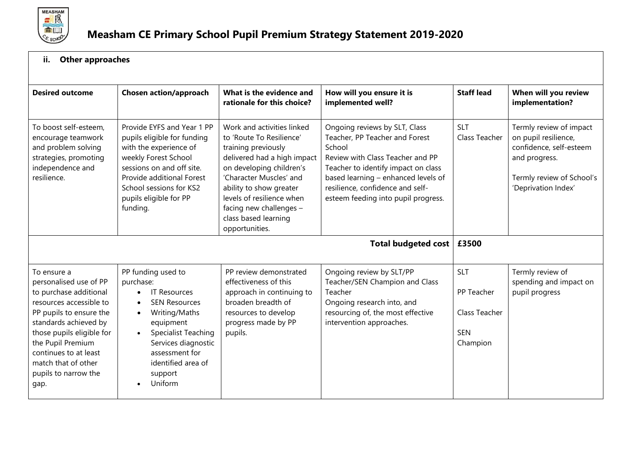

## **ii. Other approaches**

| <b>Desired outcome</b>                                                                                                                                                                                                                                                           | <b>Chosen action/approach</b>                                                                                                                                                                                                                                                             | What is the evidence and<br>rationale for this choice?                                                                                                                                                                                                                                           | How will you ensure it is<br>implemented well?                                                                                                                                                                                                                         | <b>Staff lead</b>                                                   | When will you review<br>implementation?                                                                                                         |
|----------------------------------------------------------------------------------------------------------------------------------------------------------------------------------------------------------------------------------------------------------------------------------|-------------------------------------------------------------------------------------------------------------------------------------------------------------------------------------------------------------------------------------------------------------------------------------------|--------------------------------------------------------------------------------------------------------------------------------------------------------------------------------------------------------------------------------------------------------------------------------------------------|------------------------------------------------------------------------------------------------------------------------------------------------------------------------------------------------------------------------------------------------------------------------|---------------------------------------------------------------------|-------------------------------------------------------------------------------------------------------------------------------------------------|
| To boost self-esteem,<br>encourage teamwork<br>and problem solving<br>strategies, promoting<br>independence and<br>resilience.                                                                                                                                                   | Provide EYFS and Year 1 PP<br>pupils eligible for funding<br>with the experience of<br>weekly Forest School<br>sessions on and off site.<br>Provide additional Forest<br>School sessions for KS2<br>pupils eligible for PP<br>funding.                                                    | Work and activities linked<br>to 'Route To Resilience'<br>training previously<br>delivered had a high impact<br>on developing children's<br>'Character Muscles' and<br>ability to show greater<br>levels of resilience when<br>facing new challenges -<br>class based learning<br>opportunities. | Ongoing reviews by SLT, Class<br>Teacher, PP Teacher and Forest<br>School<br>Review with Class Teacher and PP<br>Teacher to identify impact on class<br>based learning - enhanced levels of<br>resilience, confidence and self-<br>esteem feeding into pupil progress. | <b>SLT</b><br>Class Teacher                                         | Termly review of impact<br>on pupil resilience,<br>confidence, self-esteem<br>and progress.<br>Termly review of School's<br>'Deprivation Index' |
|                                                                                                                                                                                                                                                                                  |                                                                                                                                                                                                                                                                                           |                                                                                                                                                                                                                                                                                                  | Total budgeted cost                                                                                                                                                                                                                                                    | £3500                                                               |                                                                                                                                                 |
| To ensure a<br>personalised use of PP<br>to purchase additional<br>resources accessible to<br>PP pupils to ensure the<br>standards achieved by<br>those pupils eligible for<br>the Pupil Premium<br>continues to at least<br>match that of other<br>pupils to narrow the<br>gap. | PP funding used to<br>purchase:<br><b>IT Resources</b><br>$\bullet$<br><b>SEN Resources</b><br>$\bullet$<br>Writing/Maths<br>$\bullet$<br>equipment<br>Specialist Teaching<br>$\bullet$<br>Services diagnostic<br>assessment for<br>identified area of<br>support<br>Uniform<br>$\bullet$ | PP review demonstrated<br>effectiveness of this<br>approach in continuing to<br>broaden breadth of<br>resources to develop<br>progress made by PP<br>pupils.                                                                                                                                     | Ongoing review by SLT/PP<br>Teacher/SEN Champion and Class<br>Teacher<br>Ongoing research into, and<br>resourcing of, the most effective<br>intervention approaches.                                                                                                   | <b>SLT</b><br>PP Teacher<br>Class Teacher<br><b>SEN</b><br>Champion | Termly review of<br>spending and impact on<br>pupil progress                                                                                    |